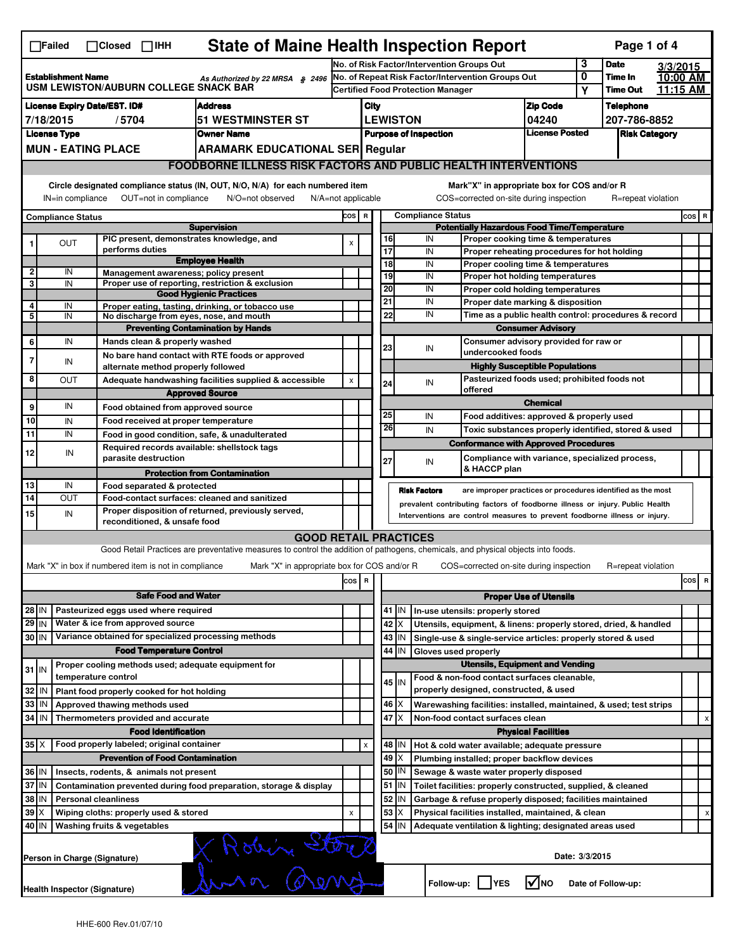| <b>State of Maine Health Inspection Report</b><br>Page 1 of 4<br>$\Box$ Failed<br>$\Box$ Closed $\Box$ IHH                                                                                                                                                                                |                                                                                                                                                                              |                     |                 |                                      |                                                                                                                                   |                                                                                               |                                                                                 |                                                                              |                                                            |                                                            |                                                                                                      |                               |                     |                      |          |       |  |
|-------------------------------------------------------------------------------------------------------------------------------------------------------------------------------------------------------------------------------------------------------------------------------------------|------------------------------------------------------------------------------------------------------------------------------------------------------------------------------|---------------------|-----------------|--------------------------------------|-----------------------------------------------------------------------------------------------------------------------------------|-----------------------------------------------------------------------------------------------|---------------------------------------------------------------------------------|------------------------------------------------------------------------------|------------------------------------------------------------|------------------------------------------------------------|------------------------------------------------------------------------------------------------------|-------------------------------|---------------------|----------------------|----------|-------|--|
|                                                                                                                                                                                                                                                                                           |                                                                                                                                                                              |                     |                 |                                      |                                                                                                                                   |                                                                                               |                                                                                 |                                                                              |                                                            |                                                            | No. of Risk Factor/Intervention Groups Out                                                           |                               | 3                   | <b>Date</b>          | 3/3/2015 |       |  |
| <b>Establishment Name</b><br>As Authorized by 22 MRSA § 2496<br>USM LEWISTON/AUBURN COLLEGE SNACK BAR                                                                                                                                                                                     |                                                                                                                                                                              |                     |                 |                                      |                                                                                                                                   | No. of Repeat Risk Factor/Intervention Groups Out<br><b>Certified Food Protection Manager</b> |                                                                                 |                                                                              |                                                            |                                                            |                                                                                                      | 0                             | Time In<br>Time Out | 10:00 AM<br>11:15 AM |          |       |  |
|                                                                                                                                                                                                                                                                                           |                                                                                                                                                                              |                     |                 |                                      |                                                                                                                                   |                                                                                               |                                                                                 |                                                                              |                                                            |                                                            |                                                                                                      |                               | Υ                   |                      |          |       |  |
| <b>License Expiry Date/EST. ID#</b><br><b>Address</b>                                                                                                                                                                                                                                     |                                                                                                                                                                              |                     |                 |                                      |                                                                                                                                   |                                                                                               | City                                                                            |                                                                              |                                                            |                                                            | <b>Zip Code</b>                                                                                      |                               | Telephone           |                      |          |       |  |
| <b>51 WESTMINSTER ST</b><br>7/18/2015<br>/5704                                                                                                                                                                                                                                            |                                                                                                                                                                              |                     |                 |                                      |                                                                                                                                   |                                                                                               | 04240<br><b>LEWISTON</b>                                                        |                                                                              |                                                            |                                                            |                                                                                                      | 207-786-8852                  |                     |                      |          |       |  |
| <b>Owner Name</b><br><b>License Type</b>                                                                                                                                                                                                                                                  |                                                                                                                                                                              |                     |                 |                                      |                                                                                                                                   |                                                                                               |                                                                                 | License Posted<br><b>Purpose of Inspection</b><br><b>Risk Category</b>       |                                                            |                                                            |                                                                                                      |                               |                     |                      |          |       |  |
|                                                                                                                                                                                                                                                                                           | <b>MUN - EATING PLACE</b><br><b>ARAMARK EDUCATIONAL SER Regular</b>                                                                                                          |                     |                 |                                      |                                                                                                                                   |                                                                                               |                                                                                 |                                                                              |                                                            |                                                            |                                                                                                      |                               |                     |                      |          |       |  |
|                                                                                                                                                                                                                                                                                           | <b>FOODBORNE ILLNESS RISK FACTORS AND PUBLIC HEALTH INTERVENTIONS</b>                                                                                                        |                     |                 |                                      |                                                                                                                                   |                                                                                               |                                                                                 |                                                                              |                                                            |                                                            |                                                                                                      |                               |                     |                      |          |       |  |
| Circle designated compliance status (IN, OUT, N/O, N/A) for each numbered item<br>Mark"X" in appropriate box for COS and/or R<br>OUT=not in compliance<br>COS=corrected on-site during inspection<br>R=repeat violation<br>IN=in compliance<br>N/O=not observed<br>$N/A = not$ applicable |                                                                                                                                                                              |                     |                 |                                      |                                                                                                                                   |                                                                                               |                                                                                 |                                                                              |                                                            |                                                            |                                                                                                      |                               |                     |                      |          |       |  |
| <b>Compliance Status</b>                                                                                                                                                                                                                                                                  |                                                                                                                                                                              |                     |                 |                                      |                                                                                                                                   |                                                                                               | COS R                                                                           |                                                                              |                                                            | <b>Compliance Status</b>                                   |                                                                                                      |                               |                     |                      |          | cos R |  |
| <b>Supervision</b>                                                                                                                                                                                                                                                                        |                                                                                                                                                                              |                     |                 |                                      |                                                                                                                                   |                                                                                               | <b>Potentially Hazardous Food Time/Temperature</b>                              |                                                                              |                                                            |                                                            |                                                                                                      |                               |                     |                      |          |       |  |
| 1                                                                                                                                                                                                                                                                                         | OUT                                                                                                                                                                          |                     | performs duties |                                      | PIC present, demonstrates knowledge, and                                                                                          | $\pmb{\times}$                                                                                |                                                                                 | 16<br>17                                                                     |                                                            | IN                                                         | Proper cooking time & temperatures                                                                   |                               |                     |                      |          |       |  |
|                                                                                                                                                                                                                                                                                           |                                                                                                                                                                              |                     |                 |                                      | <b>Employee Health</b>                                                                                                            |                                                                                               |                                                                                 | $\overline{18}$                                                              |                                                            | IN<br>IN                                                   | Proper reheating procedures for hot holding<br>Proper cooling time & temperatures                    |                               |                     |                      |          |       |  |
| $\overline{\mathbf{2}}$                                                                                                                                                                                                                                                                   | IN                                                                                                                                                                           |                     |                 |                                      | Management awareness; policy present                                                                                              |                                                                                               |                                                                                 | 19                                                                           |                                                            | IN                                                         | Proper hot holding temperatures                                                                      |                               |                     |                      |          |       |  |
| 3                                                                                                                                                                                                                                                                                         | IN                                                                                                                                                                           |                     |                 |                                      | Proper use of reporting, restriction & exclusion                                                                                  |                                                                                               |                                                                                 |                                                                              | 20<br>IN<br>Proper cold holding temperatures               |                                                            |                                                                                                      |                               |                     |                      |          |       |  |
| 4                                                                                                                                                                                                                                                                                         |                                                                                                                                                                              |                     |                 |                                      | <b>Good Hygienic Practices</b>                                                                                                    |                                                                                               |                                                                                 | 21                                                                           |                                                            | IN<br>Proper date marking & disposition                    |                                                                                                      |                               |                     |                      |          |       |  |
| 5                                                                                                                                                                                                                                                                                         | IN<br>IN                                                                                                                                                                     |                     |                 |                                      | Proper eating, tasting, drinking, or tobacco use<br>No discharge from eyes, nose, and mouth                                       |                                                                                               |                                                                                 | 22                                                                           |                                                            | IN<br>Time as a public health control: procedures & record |                                                                                                      |                               |                     |                      |          |       |  |
|                                                                                                                                                                                                                                                                                           |                                                                                                                                                                              |                     |                 |                                      | <b>Preventing Contamination by Hands</b>                                                                                          |                                                                                               |                                                                                 |                                                                              | <b>Consumer Advisory</b>                                   |                                                            |                                                                                                      |                               |                     |                      |          |       |  |
| 6                                                                                                                                                                                                                                                                                         | IN                                                                                                                                                                           |                     |                 | Hands clean & properly washed        |                                                                                                                                   |                                                                                               |                                                                                 |                                                                              | Consumer advisory provided for raw or                      |                                                            |                                                                                                      |                               |                     |                      |          |       |  |
| 7                                                                                                                                                                                                                                                                                         |                                                                                                                                                                              |                     |                 |                                      | No bare hand contact with RTE foods or approved                                                                                   |                                                                                               |                                                                                 | 23                                                                           | IN<br>undercooked foods                                    |                                                            |                                                                                                      |                               |                     |                      |          |       |  |
|                                                                                                                                                                                                                                                                                           | IN                                                                                                                                                                           |                     |                 |                                      | alternate method properly followed                                                                                                |                                                                                               |                                                                                 |                                                                              |                                                            |                                                            | <b>Highly Susceptible Populations</b>                                                                |                               |                     |                      |          |       |  |
| 8                                                                                                                                                                                                                                                                                         | Ουτ                                                                                                                                                                          |                     |                 |                                      | Adequate handwashing facilities supplied & accessible                                                                             | X                                                                                             |                                                                                 | 24                                                                           |                                                            | IN                                                         | Pasteurized foods used; prohibited foods not                                                         |                               |                     |                      |          |       |  |
|                                                                                                                                                                                                                                                                                           |                                                                                                                                                                              |                     |                 |                                      | <b>Approved Source</b>                                                                                                            |                                                                                               |                                                                                 |                                                                              |                                                            |                                                            | offered                                                                                              | <b>Chemical</b>               |                     |                      |          |       |  |
| 9                                                                                                                                                                                                                                                                                         | IN                                                                                                                                                                           |                     |                 |                                      | Food obtained from approved source                                                                                                |                                                                                               |                                                                                 | 25                                                                           |                                                            | IN                                                         |                                                                                                      |                               |                     |                      |          |       |  |
| 10                                                                                                                                                                                                                                                                                        | IN                                                                                                                                                                           |                     |                 |                                      | Food received at proper temperature                                                                                               |                                                                                               |                                                                                 | 26                                                                           |                                                            |                                                            | Food additives: approved & properly used                                                             |                               |                     |                      |          |       |  |
| 11                                                                                                                                                                                                                                                                                        | IN                                                                                                                                                                           |                     |                 |                                      | Food in good condition, safe, & unadulterated                                                                                     |                                                                                               |                                                                                 |                                                                              |                                                            | IN                                                         | Toxic substances properly identified, stored & used                                                  |                               |                     |                      |          |       |  |
| 12                                                                                                                                                                                                                                                                                        | IN                                                                                                                                                                           |                     |                 |                                      | Required records available: shellstock tags                                                                                       |                                                                                               |                                                                                 |                                                                              |                                                            |                                                            | <b>Conformance with Approved Procedures</b>                                                          |                               |                     |                      |          |       |  |
|                                                                                                                                                                                                                                                                                           |                                                                                                                                                                              |                     |                 | parasite destruction                 |                                                                                                                                   |                                                                                               |                                                                                 | 27                                                                           |                                                            | IN                                                         | Compliance with variance, specialized process,<br>& HACCP plan                                       |                               |                     |                      |          |       |  |
|                                                                                                                                                                                                                                                                                           |                                                                                                                                                                              |                     |                 |                                      | <b>Protection from Contamination</b>                                                                                              |                                                                                               |                                                                                 |                                                                              |                                                            |                                                            |                                                                                                      |                               |                     |                      |          |       |  |
| 13<br>14                                                                                                                                                                                                                                                                                  | IN<br><b>OUT</b>                                                                                                                                                             |                     |                 | Food separated & protected           | Food-contact surfaces: cleaned and sanitized                                                                                      |                                                                                               |                                                                                 |                                                                              | <b>Risk Factors</b>                                        |                                                            | are improper practices or procedures identified as the most                                          |                               |                     |                      |          |       |  |
|                                                                                                                                                                                                                                                                                           |                                                                                                                                                                              |                     |                 |                                      |                                                                                                                                   |                                                                                               |                                                                                 | prevalent contributing factors of foodborne illness or injury. Public Health |                                                            |                                                            |                                                                                                      |                               |                     |                      |          |       |  |
|                                                                                                                                                                                                                                                                                           | Proper disposition of returned, previously served,<br>15<br>IN<br>Interventions are control measures to prevent foodborne illness or injury.<br>reconditioned, & unsafe food |                     |                 |                                      |                                                                                                                                   |                                                                                               |                                                                                 |                                                                              |                                                            |                                                            |                                                                                                      |                               |                     |                      |          |       |  |
|                                                                                                                                                                                                                                                                                           |                                                                                                                                                                              |                     |                 |                                      | <b>GOOD RETAIL PRACTICES</b>                                                                                                      |                                                                                               |                                                                                 |                                                                              |                                                            |                                                            |                                                                                                      |                               |                     |                      |          |       |  |
|                                                                                                                                                                                                                                                                                           |                                                                                                                                                                              |                     |                 |                                      | Good Retail Practices are preventative measures to control the addition of pathogens, chemicals, and physical objects into foods. |                                                                                               |                                                                                 |                                                                              |                                                            |                                                            |                                                                                                      |                               |                     |                      |          |       |  |
|                                                                                                                                                                                                                                                                                           |                                                                                                                                                                              |                     |                 |                                      | Mark "X" in appropriate box for COS and/or R                                                                                      |                                                                                               |                                                                                 |                                                                              |                                                            |                                                            |                                                                                                      |                               |                     | R=repeat violation   |          |       |  |
| Mark "X" in box if numbered item is not in compliance<br>COS=corrected on-site during inspection<br>cosl<br>R<br>$\cos$                                                                                                                                                                   |                                                                                                                                                                              |                     |                 |                                      |                                                                                                                                   |                                                                                               |                                                                                 | $\overline{\mathbf{R}}$                                                      |                                                            |                                                            |                                                                                                      |                               |                     |                      |          |       |  |
|                                                                                                                                                                                                                                                                                           | <b>Safe Food and Water</b>                                                                                                                                                   |                     |                 |                                      |                                                                                                                                   |                                                                                               |                                                                                 |                                                                              |                                                            |                                                            |                                                                                                      | <b>Proper Use of Utensils</b> |                     |                      |          |       |  |
|                                                                                                                                                                                                                                                                                           |                                                                                                                                                                              |                     |                 | Pasteurized eggs used where required |                                                                                                                                   |                                                                                               |                                                                                 |                                                                              | 41 J IN                                                    |                                                            |                                                                                                      |                               |                     |                      |          |       |  |
| 28 IN<br>29 IN                                                                                                                                                                                                                                                                            |                                                                                                                                                                              |                     |                 | Water & ice from approved source     |                                                                                                                                   |                                                                                               |                                                                                 |                                                                              | 42   X                                                     |                                                            | In-use utensils: properly stored<br>Utensils, equipment, & linens: properly stored, dried, & handled |                               |                     |                      |          |       |  |
|                                                                                                                                                                                                                                                                                           |                                                                                                                                                                              |                     |                 |                                      |                                                                                                                                   |                                                                                               |                                                                                 |                                                                              | $43$   IN                                                  |                                                            | Single-use & single-service articles: properly stored & used                                         |                               |                     |                      |          |       |  |
| Variance obtained for specialized processing methods<br>30 IN<br><b>Food Temperature Control</b>                                                                                                                                                                                          |                                                                                                                                                                              |                     |                 |                                      |                                                                                                                                   |                                                                                               |                                                                                 |                                                                              | 44   IN                                                    |                                                            |                                                                                                      |                               |                     |                      |          |       |  |
|                                                                                                                                                                                                                                                                                           |                                                                                                                                                                              |                     |                 |                                      | Proper cooling methods used; adequate equipment for                                                                               |                                                                                               |                                                                                 | Gloves used properly<br><b>Utensils, Equipment and Vending</b>               |                                                            |                                                            |                                                                                                      |                               |                     |                      |          |       |  |
| $31$ IN                                                                                                                                                                                                                                                                                   |                                                                                                                                                                              | temperature control |                 |                                      |                                                                                                                                   |                                                                                               |                                                                                 |                                                                              |                                                            |                                                            | Food & non-food contact surfaces cleanable,                                                          |                               |                     |                      |          |       |  |
| 32<br>l IN<br>Plant food properly cooked for hot holding                                                                                                                                                                                                                                  |                                                                                                                                                                              |                     |                 |                                      |                                                                                                                                   |                                                                                               |                                                                                 | $45$ IN                                                                      |                                                            | properly designed, constructed, & used                     |                                                                                                      |                               |                     |                      |          |       |  |
| 33                                                                                                                                                                                                                                                                                        | IN                                                                                                                                                                           |                     |                 |                                      |                                                                                                                                   |                                                                                               |                                                                                 |                                                                              | $46 \times$                                                |                                                            | Warewashing facilities: installed, maintained, & used; test strips                                   |                               |                     |                      |          |       |  |
| Approved thawing methods used<br>34<br>IN<br>Thermometers provided and accurate                                                                                                                                                                                                           |                                                                                                                                                                              |                     |                 |                                      |                                                                                                                                   | 47                                                                                            | ΙX                                                                              |                                                                              | Non-food contact surfaces clean                            |                                                            |                                                                                                      |                               |                     |                      | X        |       |  |
|                                                                                                                                                                                                                                                                                           |                                                                                                                                                                              |                     |                 | <b>Food Identification</b>           |                                                                                                                                   |                                                                                               |                                                                                 | <b>Physical Facilities</b>                                                   |                                                            |                                                            |                                                                                                      |                               |                     |                      |          |       |  |
| $35$ $\times$                                                                                                                                                                                                                                                                             |                                                                                                                                                                              |                     |                 |                                      |                                                                                                                                   |                                                                                               | X                                                                               |                                                                              | 48   IN                                                    |                                                            | Hot & cold water available; adequate pressure                                                        |                               |                     |                      |          |       |  |
| Food properly labeled; original container<br><b>Prevention of Food Contamination</b>                                                                                                                                                                                                      |                                                                                                                                                                              |                     |                 |                                      |                                                                                                                                   |                                                                                               |                                                                                 |                                                                              | $49 \times$<br>Plumbing installed; proper backflow devices |                                                            |                                                                                                      |                               |                     |                      |          |       |  |
| 36 IN<br>Insects, rodents, & animals not present                                                                                                                                                                                                                                          |                                                                                                                                                                              |                     |                 |                                      |                                                                                                                                   |                                                                                               | 50   IN<br>Sewage & waste water properly disposed                               |                                                                              |                                                            |                                                            |                                                                                                      |                               |                     |                      |          |       |  |
| 37 IN<br>Contamination prevented during food preparation, storage & display                                                                                                                                                                                                               |                                                                                                                                                                              |                     |                 |                                      |                                                                                                                                   |                                                                                               | $51$ $\vert$ IN<br>Toilet facilities: properly constructed, supplied, & cleaned |                                                                              |                                                            |                                                            |                                                                                                      |                               |                     |                      |          |       |  |
| 38 IN<br><b>Personal cleanliness</b>                                                                                                                                                                                                                                                      |                                                                                                                                                                              |                     |                 |                                      |                                                                                                                                   |                                                                                               | 52 IN<br>Garbage & refuse properly disposed; facilities maintained              |                                                                              |                                                            |                                                            |                                                                                                      |                               |                     |                      |          |       |  |
| $39 \times$<br>Wiping cloths: properly used & stored                                                                                                                                                                                                                                      |                                                                                                                                                                              |                     |                 |                                      | X                                                                                                                                 |                                                                                               | $53$ $\times$<br>Physical facilities installed, maintained, & clean             |                                                                              |                                                            |                                                            |                                                                                                      |                               | x                   |                      |          |       |  |
| 40<br>ΙN<br>Washing fruits & vegetables                                                                                                                                                                                                                                                   |                                                                                                                                                                              |                     |                 |                                      |                                                                                                                                   |                                                                                               |                                                                                 | $54$ IN<br>Adequate ventilation & lighting; designated areas used            |                                                            |                                                            |                                                                                                      |                               |                     |                      |          |       |  |
|                                                                                                                                                                                                                                                                                           | (Robin Stere)<br>Person in Charge (Signature)                                                                                                                                |                     |                 |                                      |                                                                                                                                   |                                                                                               |                                                                                 |                                                                              |                                                            |                                                            |                                                                                                      |                               | Date: 3/3/2015      |                      |          |       |  |
|                                                                                                                                                                                                                                                                                           | l√lno<br>Follow-up:     YES<br>Date of Follow-up:<br><b>Health Inspector (Signature)</b>                                                                                     |                     |                 |                                      |                                                                                                                                   |                                                                                               |                                                                                 |                                                                              |                                                            |                                                            |                                                                                                      |                               |                     |                      |          |       |  |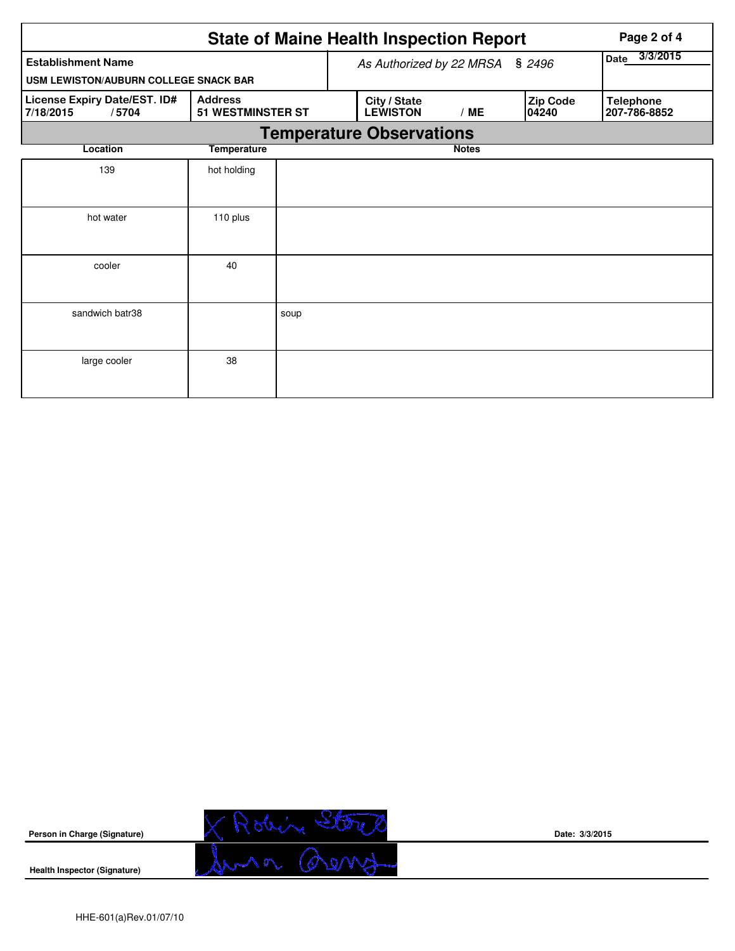|                                                    |                                            |      | <b>State of Maine Health Inspection Report</b> | Page 2 of 4      |                          |                                  |  |  |  |  |  |
|----------------------------------------------------|--------------------------------------------|------|------------------------------------------------|------------------|--------------------------|----------------------------------|--|--|--|--|--|
| <b>Establishment Name</b>                          |                                            |      | As Authorized by 22 MRSA § 2496                | 3/3/2015<br>Date |                          |                                  |  |  |  |  |  |
| USM LEWISTON/AUBURN COLLEGE SNACK BAR              |                                            |      |                                                |                  |                          |                                  |  |  |  |  |  |
| License Expiry Date/EST. ID#<br>7/18/2015<br>/5704 | <b>Address</b><br><b>51 WESTMINSTER ST</b> |      | City / State<br><b>LEWISTON</b>                | /ME              | <b>Zip Code</b><br>04240 | <b>Telephone</b><br>207-786-8852 |  |  |  |  |  |
| <b>Temperature Observations</b>                    |                                            |      |                                                |                  |                          |                                  |  |  |  |  |  |
| Location                                           | <b>Temperature</b>                         |      |                                                | <b>Notes</b>     |                          |                                  |  |  |  |  |  |
| 139                                                | hot holding                                |      |                                                |                  |                          |                                  |  |  |  |  |  |
| hot water                                          | 110 plus                                   |      |                                                |                  |                          |                                  |  |  |  |  |  |
| cooler                                             | 40                                         |      |                                                |                  |                          |                                  |  |  |  |  |  |
| sandwich batr38                                    |                                            | soup |                                                |                  |                          |                                  |  |  |  |  |  |
| large cooler                                       | 38                                         |      |                                                |                  |                          |                                  |  |  |  |  |  |



**Date: 3/3/2015**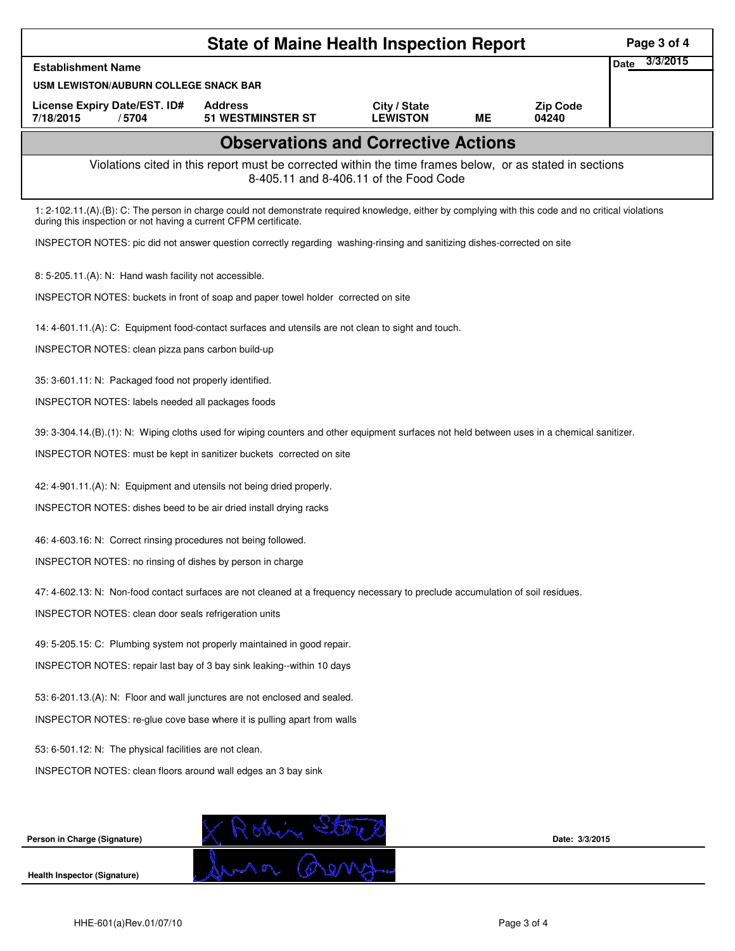|                                                                                                                                                                                                                          | Page 3 of 4                                                                                                                    |                                 |    |                          |                         |  |  |  |  |  |
|--------------------------------------------------------------------------------------------------------------------------------------------------------------------------------------------------------------------------|--------------------------------------------------------------------------------------------------------------------------------|---------------------------------|----|--------------------------|-------------------------|--|--|--|--|--|
| <b>Establishment Name</b>                                                                                                                                                                                                |                                                                                                                                |                                 |    |                          | 3/3/2015<br><b>Date</b> |  |  |  |  |  |
| USM LEWISTON/AUBURN COLLEGE SNACK BAR                                                                                                                                                                                    |                                                                                                                                |                                 |    |                          |                         |  |  |  |  |  |
| License Expiry Date/EST. ID#<br>7/18/2015<br>/5704                                                                                                                                                                       | <b>Address</b><br><b>51 WESTMINSTER ST</b>                                                                                     | City / State<br><b>LEWISTON</b> | ME | <b>Zip Code</b><br>04240 |                         |  |  |  |  |  |
|                                                                                                                                                                                                                          | <b>Observations and Corrective Actions</b>                                                                                     |                                 |    |                          |                         |  |  |  |  |  |
| Violations cited in this report must be corrected within the time frames below, or as stated in sections<br>8-405.11 and 8-406.11 of the Food Code                                                                       |                                                                                                                                |                                 |    |                          |                         |  |  |  |  |  |
| 1: 2-102.11.(A).(B): C: The person in charge could not demonstrate required knowledge, either by complying with this code and no critical violations<br>during this inspection or not having a current CFPM certificate. |                                                                                                                                |                                 |    |                          |                         |  |  |  |  |  |
|                                                                                                                                                                                                                          | INSPECTOR NOTES: pic did not answer question correctly regarding washing-rinsing and sanitizing dishes-corrected on site       |                                 |    |                          |                         |  |  |  |  |  |
| 8: 5-205.11.(A): N: Hand wash facility not accessible.                                                                                                                                                                   |                                                                                                                                |                                 |    |                          |                         |  |  |  |  |  |
| INSPECTOR NOTES: buckets in front of soap and paper towel holder corrected on site                                                                                                                                       |                                                                                                                                |                                 |    |                          |                         |  |  |  |  |  |
| 14: 4-601.11.(A): C: Equipment food-contact surfaces and utensils are not clean to sight and touch.                                                                                                                      |                                                                                                                                |                                 |    |                          |                         |  |  |  |  |  |
| INSPECTOR NOTES: clean pizza pans carbon build-up                                                                                                                                                                        |                                                                                                                                |                                 |    |                          |                         |  |  |  |  |  |
| 35: 3-601.11: N: Packaged food not properly identified.                                                                                                                                                                  |                                                                                                                                |                                 |    |                          |                         |  |  |  |  |  |
| INSPECTOR NOTES: labels needed all packages foods                                                                                                                                                                        |                                                                                                                                |                                 |    |                          |                         |  |  |  |  |  |
| 39: 3-304.14.(B).(1): N: Wiping cloths used for wiping counters and other equipment surfaces not held between uses in a chemical sanitizer.                                                                              |                                                                                                                                |                                 |    |                          |                         |  |  |  |  |  |
| INSPECTOR NOTES: must be kept in sanitizer buckets corrected on site                                                                                                                                                     |                                                                                                                                |                                 |    |                          |                         |  |  |  |  |  |
| 42: 4-901.11.(A): N: Equipment and utensils not being dried properly.                                                                                                                                                    |                                                                                                                                |                                 |    |                          |                         |  |  |  |  |  |
| INSPECTOR NOTES: dishes beed to be air dried install drying racks                                                                                                                                                        |                                                                                                                                |                                 |    |                          |                         |  |  |  |  |  |
| 46: 4-603.16: N: Correct rinsing procedures not being followed.                                                                                                                                                          |                                                                                                                                |                                 |    |                          |                         |  |  |  |  |  |
| INSPECTOR NOTES: no rinsing of dishes by person in charge                                                                                                                                                                |                                                                                                                                |                                 |    |                          |                         |  |  |  |  |  |
|                                                                                                                                                                                                                          | 47: 4-602.13: N: Non-food contact surfaces are not cleaned at a frequency necessary to preclude accumulation of soil residues. |                                 |    |                          |                         |  |  |  |  |  |
|                                                                                                                                                                                                                          | <b>INSPECTOR NOTES: clean door seals refrigeration units</b>                                                                   |                                 |    |                          |                         |  |  |  |  |  |
|                                                                                                                                                                                                                          | 49: 5-205.15: C: Plumbing system not properly maintained in good repair.                                                       |                                 |    |                          |                         |  |  |  |  |  |
| INSPECTOR NOTES: repair last bay of 3 bay sink leaking--within 10 days                                                                                                                                                   |                                                                                                                                |                                 |    |                          |                         |  |  |  |  |  |
| 53: 6-201.13.(A): N: Floor and wall junctures are not enclosed and sealed.                                                                                                                                               |                                                                                                                                |                                 |    |                          |                         |  |  |  |  |  |
| INSPECTOR NOTES: re-glue cove base where it is pulling apart from walls                                                                                                                                                  |                                                                                                                                |                                 |    |                          |                         |  |  |  |  |  |
| 53: 6-501.12: N: The physical facilities are not clean.                                                                                                                                                                  |                                                                                                                                |                                 |    |                          |                         |  |  |  |  |  |
| INSPECTOR NOTES: clean floors around wall edges an 3 bay sink                                                                                                                                                            |                                                                                                                                |                                 |    |                          |                         |  |  |  |  |  |
|                                                                                                                                                                                                                          |                                                                                                                                |                                 |    |                          |                         |  |  |  |  |  |
|                                                                                                                                                                                                                          |                                                                                                                                |                                 |    |                          |                         |  |  |  |  |  |
| Person in Charge (Signature)                                                                                                                                                                                             |                                                                                                                                |                                 |    | Date: 3/3/2015           |                         |  |  |  |  |  |
| Health Inspector (Signature)                                                                                                                                                                                             |                                                                                                                                |                                 |    |                          |                         |  |  |  |  |  |
|                                                                                                                                                                                                                          |                                                                                                                                |                                 |    |                          |                         |  |  |  |  |  |